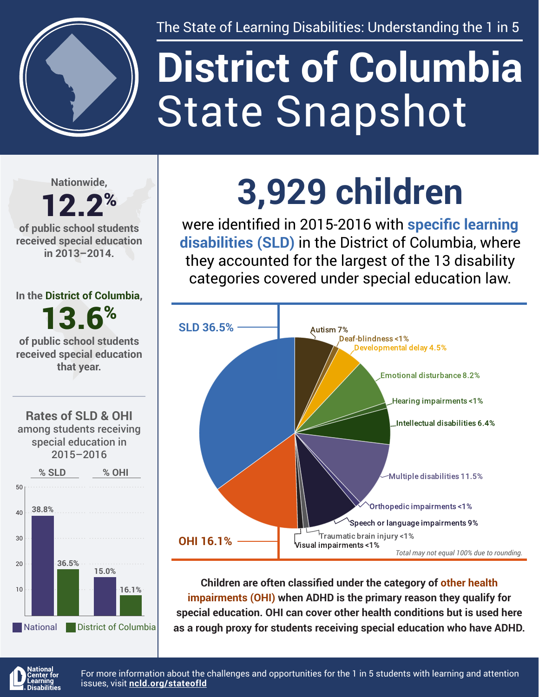

The State of Learning Disabilities: Understanding the 1 in 5

# State Snapshot **District of Columbia**

**Nationwide,**

#### 12.2% **of public school students received special education in 2013–2014.**

**In the District of Columbia,**

13.6%

**of public school students received special education that year.**





## **3,929 children**

were identified in 2015-2016 with **specific learning disabilities (SLD)** in the District of Columbia, where they accounted for the largest of the 13 disability categories covered under special education law.



**Children are often classified under the category of other health impairments (OHI) when ADHD is the primary reason they qualify for special education. OHI can cover other health conditions but is used here as a rough proxy for students receiving special education who have ADHD.**



For more information about the challenges and opportunities for the 1 in 5 students with learning and attention issues, visit **[ncld.org/stateofld](http://ncld.org/stateofld)**